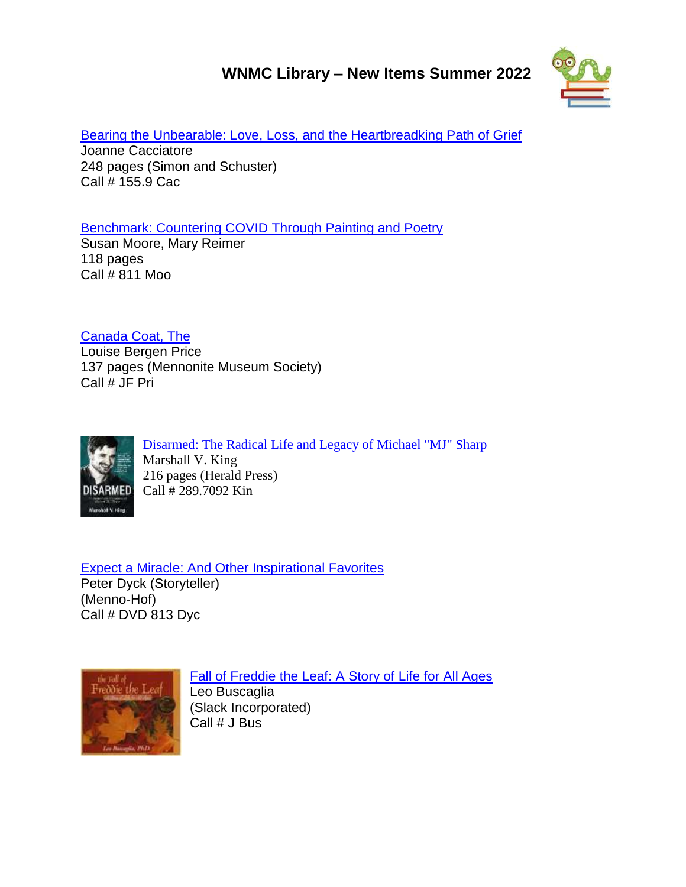## **WNMC Library – New Items Summer 2022**



[Bearing the Unbearable: Love, Loss, and the Heartbreadking Path of Grief](http://www.libib.com/u/wnmc?solo=96073360) Joanne Cacciatore 248 pages (Simon and Schuster) Call # 155.9 Cac

[Benchmark: Countering COVID Through Painting and Poetry](http://www.libib.com/u/wnmc?solo=96996061)

Susan Moore, Mary Reimer 118 pages Call  $# 811$  Moo

[Canada Coat, The](http://www.libib.com/u/wnmc?solo=96954874)

Louise Bergen Price 137 pages (Mennonite Museum Society) Call # JF Pri



[Disarmed: The Radical Life and Legacy of Michael "MJ" Sharp](http://www.libib.com/u/wnmc?solo=96998412) Marshall V. King 216 pages (Herald Press) Call # 289.7092 Kin

[Expect a Miracle: And Other Inspirational Favorites](http://www.libib.com/u/wnmc?solo=96994777) Peter Dyck (Storyteller) (Menno-Hof) Call # DVD 813 Dyc



[Fall of Freddie the Leaf: A Story of Life for All Ages](http://www.libib.com/u/wnmc?solo=96953888) Leo Buscaglia (Slack Incorporated) Call # J Bus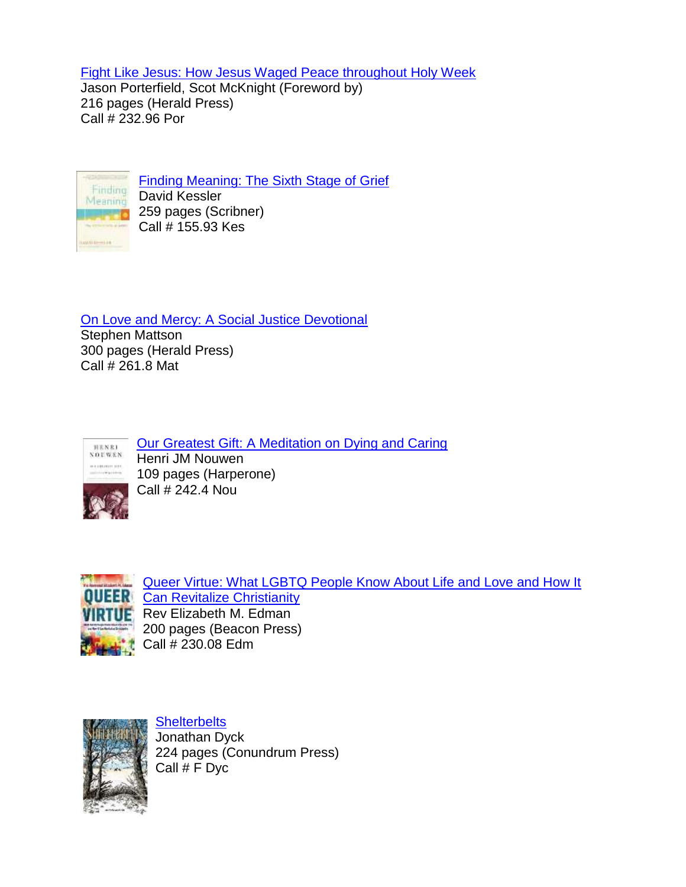[Fight Like Jesus: How Jesus Waged Peace throughout Holy Week](http://www.libib.com/u/wnmc?solo=96954050)

Jason Porterfield, Scot McKnight (Foreword by) 216 pages (Herald Press) Call # 232.96 Por



[Finding Meaning: The Sixth Stage of Grief](http://www.libib.com/u/wnmc?solo=96954513) David Kessler **259 pages (Scribner)** Call # 155.93 Kes

[On Love and Mercy: A Social Justice Devotional](http://www.libib.com/u/wnmc?solo=96995480)

Stephen Mattson 300 pages (Herald Press) Call # 261.8 Mat



[Our Greatest Gift: A Meditation on Dying and Caring](http://www.libib.com/u/wnmc?solo=96952825) Henri JM Nouwen 109 pages (Harperone) Call # 242.4 Nou



[Queer Virtue: What LGBTQ People Know About Life and Love and How It](http://www.libib.com/u/wnmc?solo=96953164)  **ER** [Can Revitalize Christianity](http://www.libib.com/u/wnmc?solo=96953164) Rev Elizabeth M. Edman 200 pages (Beacon Press) Call # 230.08 Edm



**[Shelterbelts](http://www.libib.com/u/wnmc?solo=96954939)** Jonathan Dyck 224 pages (Conundrum Press) Call # F Dyc